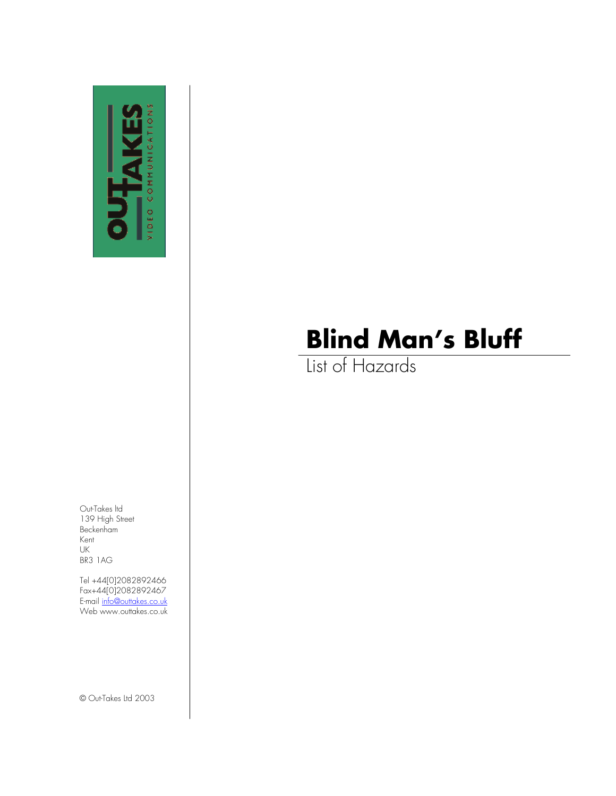

List of Hazards

Out-Takes ltd 139 High Street Beckenham Kent UK BR3 1AG

Tel +44[0]2082892466 Fax+44[0]2082892467 E-mail <u>[info@outtakes.co.uk](mailto:info@outtakes.co.uk)</u> Web www.outtakes.co.uk

© Out-Takes Ltd 2003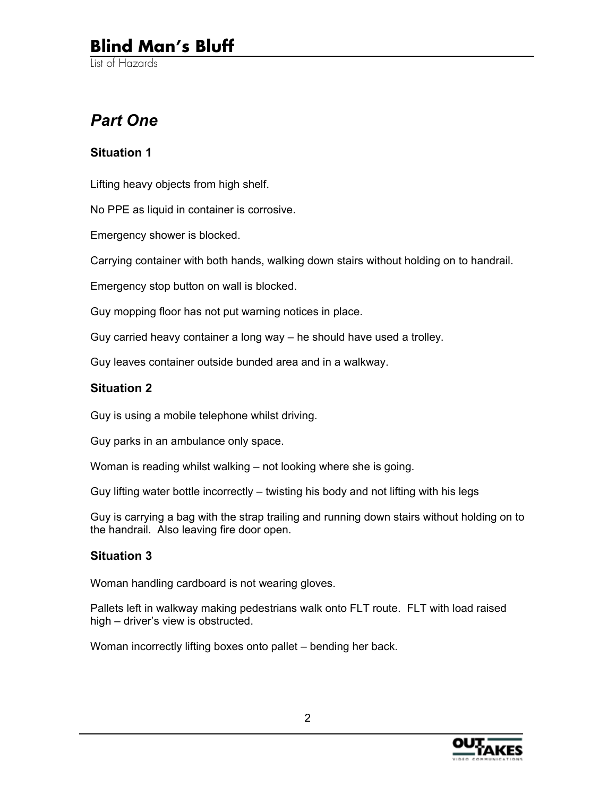List of Hazards

### *Part One*

#### **Situation 1**

Lifting heavy objects from high shelf.

No PPE as liquid in container is corrosive.

Emergency shower is blocked.

Carrying container with both hands, walking down stairs without holding on to handrail.

Emergency stop button on wall is blocked.

Guy mopping floor has not put warning notices in place.

Guy carried heavy container a long way – he should have used a trolley.

Guy leaves container outside bunded area and in a walkway.

#### **Situation 2**

Guy is using a mobile telephone whilst driving.

Guy parks in an ambulance only space.

Woman is reading whilst walking – not looking where she is going.

Guy lifting water bottle incorrectly – twisting his body and not lifting with his legs

Guy is carrying a bag with the strap trailing and running down stairs without holding on to the handrail. Also leaving fire door open.

#### **Situation 3**

Woman handling cardboard is not wearing gloves.

Pallets left in walkway making pedestrians walk onto FLT route. FLT with load raised high – driver's view is obstructed.

Woman incorrectly lifting boxes onto pallet – bending her back.

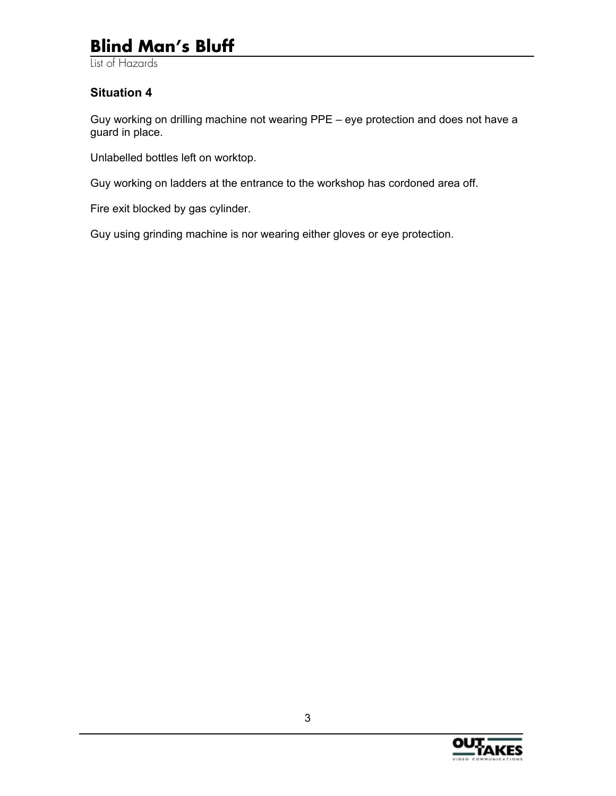List of Hazards

#### **Situation 4**

Guy working on drilling machine not wearing PPE – eye protection and does not have a guard in place.

Unlabelled bottles left on worktop.

Guy working on ladders at the entrance to the workshop has cordoned area off.

Fire exit blocked by gas cylinder.

Guy using grinding machine is nor wearing either gloves or eye protection.